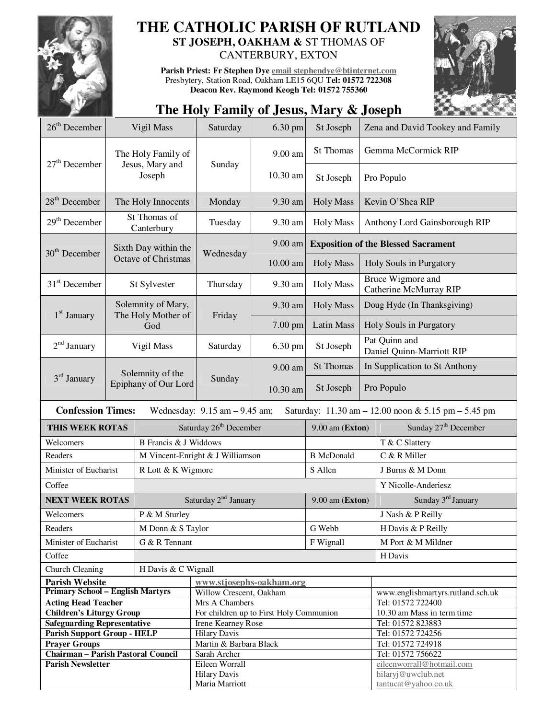

# **THE CATHOLIC PARISH OF RUTLAND ST JOSEPH, OAKHAM &** ST THOMAS OF

CANTERBURY, EXTON

**Parish Priest: Fr Stephen Dye email stephendye@btinternet.com** Presbytery, Station Road, Oakham LE15 6QU **Tel: 01572 722308 Deacon Rev. Raymond Keogh Tel: 01572 755360** 



## **The Holy Family of Jesus, Mary & Joseph**

| $26th$ December                                                                                                     | Vigil Mass                 |                                  | Saturday<br>6.30 pm                     |          | St Joseph         | Zena and David Tookey and Family            |                                            |  |
|---------------------------------------------------------------------------------------------------------------------|----------------------------|----------------------------------|-----------------------------------------|----------|-------------------|---------------------------------------------|--------------------------------------------|--|
| $27th$ December                                                                                                     |                            | The Holy Family of               | Sunday                                  | 9.00 am  | St Thomas         |                                             | Gemma McCormick RIP                        |  |
|                                                                                                                     |                            | Jesus, Mary and<br>Joseph        |                                         | 10.30 am | St Joseph         | Pro Populo                                  |                                            |  |
| $28th$ December                                                                                                     | The Holy Innocents         |                                  | Monday                                  | 9.30 am  | <b>Holy Mass</b>  | Kevin O'Shea RIP                            |                                            |  |
| $29th$ December                                                                                                     | St Thomas of<br>Canterbury |                                  | Tuesday                                 | 9.30 am  | <b>Holy Mass</b>  | Anthony Lord Gainsborough RIP               |                                            |  |
| Sixth Day within the<br>$30th$ December<br>Octave of Christmas                                                      |                            |                                  | Wednesday                               | 9.00 am  |                   | <b>Exposition of the Blessed Sacrament</b>  |                                            |  |
|                                                                                                                     |                            |                                  |                                         | 10.00 am | <b>Holy Mass</b>  | Holy Souls in Purgatory                     |                                            |  |
| $31st$ December                                                                                                     | St Sylvester               |                                  | Thursday                                | 9.30 am  | <b>Holy Mass</b>  | Bruce Wigmore and<br>Catherine McMurray RIP |                                            |  |
|                                                                                                                     |                            | Solemnity of Mary,               |                                         | 9.30 am  | <b>Holy Mass</b>  | Doug Hyde (In Thanksgiving)                 |                                            |  |
| $1st$ January                                                                                                       |                            | The Holy Mother of<br>God        | Friday                                  | 7.00 pm  | Latin Mass        | Holy Souls in Purgatory                     |                                            |  |
| $2nd$ January                                                                                                       |                            | Vigil Mass                       | Saturday                                | 6.30 pm  | St Joseph         | Pat Quinn and<br>Daniel Quinn-Marriott RIP  |                                            |  |
|                                                                                                                     |                            | Solemnity of the                 |                                         | 9.00 am  | St Thomas         | In Supplication to St Anthony               |                                            |  |
| 3 <sup>rd</sup> January                                                                                             |                            | Epiphany of Our Lord             | Sunday                                  | 10.30 am | St Joseph         | Pro Populo                                  |                                            |  |
| <b>Confession Times:</b><br>Wednesday: $9.15$ am $-9.45$ am;<br>Saturday: 11.30 am - 12.00 noon & 5.15 pm - 5.45 pm |                            |                                  |                                         |          |                   |                                             |                                            |  |
| THIS WEEK ROTAS                                                                                                     |                            |                                  | Saturday 26 <sup>th</sup> December      |          |                   | $9.00$ am (Exton)                           | Sunday 27 <sup>th</sup> December           |  |
| Welcomers                                                                                                           |                            | <b>B</b> Francis & J Widdows     |                                         |          |                   |                                             | T & C Slattery                             |  |
| Readers                                                                                                             |                            | M Vincent-Enright & J Williamson |                                         |          | <b>B</b> McDonald |                                             | C & R Miller                               |  |
| Minister of Eucharist                                                                                               |                            | R Lott & K Wigmore               |                                         |          | S Allen           |                                             | J Burns & M Donn                           |  |
| Coffee                                                                                                              |                            |                                  |                                         |          |                   |                                             | Y Nicolle-Anderiesz                        |  |
| <b>NEXT WEEK ROTAS</b>                                                                                              |                            | Saturday 2 <sup>nd</sup> January |                                         |          | $9.00$ am (Exton) |                                             | Sunday 3 <sup>rd</sup> January             |  |
| Welcomers                                                                                                           |                            |                                  | P & M Sturley                           |          |                   |                                             | J Nash & P Reilly                          |  |
| Readers                                                                                                             |                            | M Donn & S Taylor                |                                         |          | G Webb            |                                             | H Davis & P Reilly                         |  |
| Minister of Eucharist                                                                                               |                            | G & R Tennant                    |                                         |          | F Wignall         |                                             | M Port & M Mildner                         |  |
| Coffee                                                                                                              |                            |                                  |                                         |          |                   |                                             | H Davis                                    |  |
| Church Cleaning<br>H Davis & C Wignall                                                                              |                            |                                  |                                         |          |                   |                                             |                                            |  |
| <b>Parish Website</b>                                                                                               |                            |                                  | www.stjosephs-oakham.org                |          |                   |                                             |                                            |  |
| <b>Primary School - English Martyrs</b>                                                                             |                            |                                  | Willow Crescent, Oakham                 |          |                   |                                             | www.englishmartyrs.rutland.sch.uk          |  |
| <b>Acting Head Teacher</b>                                                                                          |                            |                                  | Mrs A Chambers                          |          |                   |                                             | Tel: 01572 722400                          |  |
| <b>Children's Liturgy Group</b>                                                                                     |                            |                                  | For children up to First Holy Communion |          |                   |                                             | 10.30 am Mass in term time                 |  |
| <b>Safeguarding Representative</b>                                                                                  |                            |                                  | Irene Kearney Rose                      |          |                   |                                             | Tel: 01572 823883                          |  |
| <b>Parish Support Group - HELP</b>                                                                                  |                            |                                  | <b>Hilary Davis</b>                     |          |                   |                                             | Tel: 01572 724256                          |  |
| <b>Prayer Groups</b>                                                                                                |                            |                                  | Martin & Barbara Black                  |          |                   |                                             | Tel: 01572 724918                          |  |
| <b>Chairman - Parish Pastoral Council</b>                                                                           |                            |                                  | Sarah Archer                            |          |                   |                                             | Tel: 01572 756622                          |  |
| <b>Parish Newsletter</b>                                                                                            |                            |                                  | Eileen Worrall                          |          |                   |                                             | eileenworrall@hotmail.com                  |  |
|                                                                                                                     |                            |                                  | <b>Hilary Davis</b><br>Maria Marriott   |          |                   |                                             | hilaryj@uwclub.net<br>tantucat@yahoo.co.uk |  |